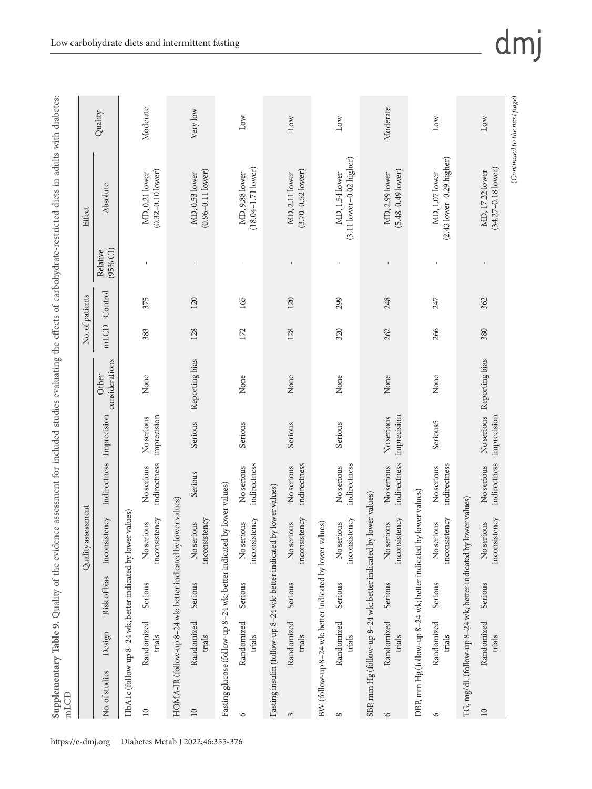| in the first contribution.<br>included studies eva <sup>1</sup><br>row if<br>evidence ;<br>ś<br>$\mathcal{L}$<br>пq<br>J<br>q<br>abl.<br>I<br>IV I<br>$\overline{\phantom{a}}$<br>ë<br>¢<br><b>DUP 1</b><br>¢<br>ı | he ettects of carbo<br>֧֧֧ׅ֧֧֧֧֧֧֧֧֧֧ׅ֧֧֧֧֪֪֪֪֪ׅ֧֧֚֚֚֚֚֚֚֚֚֚֚֚֚֚֚֚֚֚֚֚֚֚֚֚֚֚֚֚֝֝֝֝֝֝֜֝֬֝֝֓֝֓֝֬֝֓֝֝֬֜֝֬֝֝֝֝֝֝֬ | s wit<br>e-restricted diets in a |
|--------------------------------------------------------------------------------------------------------------------------------------------------------------------------------------------------------------------|---------------------------------------------------------------------------------------------------------------|----------------------------------|
| ć                                                                                                                                                                                                                  |                                                                                                               |                                  |
| $\frac{1}{1}$<br>C<br>€                                                                                                                                                                                            | خ<br>2                                                                                                        | Effect                           |

| Moderate<br>Moderate<br>Very low<br>Quality<br>Low<br>Low<br>Low<br>Low<br>Low<br>$(3.11$ lower-0.02 higher)<br>$(2.43$ lower-0.29 higher)<br>$(34.27 - 0.18$ lower)<br>$(18.04 - 1.71$ lower)<br>$(0.32 - 0.10$ lower)<br>$(0.96 - 0.11$ lower)<br>$(3.70 - 0.52$ lower)<br>$(5.48 - 0.49$ lower)<br>MD, 17.22 lower<br>MD, 1.54 lower<br>MD, 1.07 lower<br>MD, 0.21 lower<br>MD, 0.53 lower<br>MD, 9.88 lower<br>MD, 2.11 lower<br>MD, 2.99 lower<br>Absolute<br>$(95%$ CI)<br>Relative<br>$\mathsf I$<br>$\mathbf{I}$<br>Control<br>375<br>120<br>165<br>120<br>299<br>247<br>248<br>362<br>mLCD<br>266<br>320<br>383<br>128<br>172<br>128<br>262<br>380<br>considerations<br>Reporting bias<br>Reporting bias<br>Other<br>None<br>None<br>None<br>None<br>None<br>None<br>No serious<br>imprecision<br>Imprecision<br>imprecision<br>imprecision<br>No serious<br>No serious<br>Serious <sub>5</sub><br>Serious<br>Serious<br>Serious<br>Serious<br>Indirectness<br>indirectness<br>indirectness<br>indirectness<br>indirectness<br>indirectness<br>indirectness<br>indirectness<br>No serious<br>No serious<br>No serious<br>No serious<br>No serious<br>No serious<br>No serious<br>Serious<br>Fasting glucose (follow-up 8-24 wk; better indicated by lower values)<br>Fasting insulin (follow-up 8-24 wk; better indicated by lower values)<br>DBP, mm Hg (follow-up 8-24 wk; better indicated by lower values)<br>SBP, mm Hg (follow-up 8-24 wk; better indicated by lower values)<br>TG, mg/dL (follow-up 8-24 wk; better indicated by lower values)<br>HOMA-IR (follow-up 8-24 wk; better indicated by lower values)<br>HbA1c (follow-up 8-24 wk; better indicated by lower values)<br>Inconsistency<br>inconsistency<br>inconsistency<br>inconsistency<br>inconsistency<br>inconsistency<br>inconsistency<br>inconsistency<br>inconsistency<br>BW (follow-up 8-24 wk; better indicated by lower values)<br>No serious<br>No serious<br>No serious<br>No serious<br>No serious<br>No serious<br>No serious<br>No serious<br>Risk of bias<br>Serious<br>Serious<br>Serious<br>Serious<br>Serious<br>Serious<br>Serious<br>Serious<br>Randomized<br>Randomized<br>Randomized<br>Randomized<br>Randomized<br>Randomized<br>Randomized<br>Randomized<br>Design<br>trials<br>trials<br>trials<br>trials<br>trials<br>trials<br>trials<br>trials<br>No. of studies<br>$\overline{10}$<br>$10$<br>$10$<br>$\circ$<br>$\circ$<br>3<br>$\infty$<br>$\circ$ |  | Quality assessment |  |  | No. of patients | Effect |  |
|--------------------------------------------------------------------------------------------------------------------------------------------------------------------------------------------------------------------------------------------------------------------------------------------------------------------------------------------------------------------------------------------------------------------------------------------------------------------------------------------------------------------------------------------------------------------------------------------------------------------------------------------------------------------------------------------------------------------------------------------------------------------------------------------------------------------------------------------------------------------------------------------------------------------------------------------------------------------------------------------------------------------------------------------------------------------------------------------------------------------------------------------------------------------------------------------------------------------------------------------------------------------------------------------------------------------------------------------------------------------------------------------------------------------------------------------------------------------------------------------------------------------------------------------------------------------------------------------------------------------------------------------------------------------------------------------------------------------------------------------------------------------------------------------------------------------------------------------------------------------------------------------------------------------------------------------------------------------------------------------------------------------------------------------------------------------------------------------------------------------------------------------------------------------------------------------------------------------------------------------------------------------------------------------------------------------------------------------------------------------------------------------------------------------------------------------------------------|--|--------------------|--|--|-----------------|--------|--|
|                                                                                                                                                                                                                                                                                                                                                                                                                                                                                                                                                                                                                                                                                                                                                                                                                                                                                                                                                                                                                                                                                                                                                                                                                                                                                                                                                                                                                                                                                                                                                                                                                                                                                                                                                                                                                                                                                                                                                                                                                                                                                                                                                                                                                                                                                                                                                                                                                                                              |  |                    |  |  |                 |        |  |
|                                                                                                                                                                                                                                                                                                                                                                                                                                                                                                                                                                                                                                                                                                                                                                                                                                                                                                                                                                                                                                                                                                                                                                                                                                                                                                                                                                                                                                                                                                                                                                                                                                                                                                                                                                                                                                                                                                                                                                                                                                                                                                                                                                                                                                                                                                                                                                                                                                                              |  |                    |  |  |                 |        |  |
|                                                                                                                                                                                                                                                                                                                                                                                                                                                                                                                                                                                                                                                                                                                                                                                                                                                                                                                                                                                                                                                                                                                                                                                                                                                                                                                                                                                                                                                                                                                                                                                                                                                                                                                                                                                                                                                                                                                                                                                                                                                                                                                                                                                                                                                                                                                                                                                                                                                              |  |                    |  |  |                 |        |  |
|                                                                                                                                                                                                                                                                                                                                                                                                                                                                                                                                                                                                                                                                                                                                                                                                                                                                                                                                                                                                                                                                                                                                                                                                                                                                                                                                                                                                                                                                                                                                                                                                                                                                                                                                                                                                                                                                                                                                                                                                                                                                                                                                                                                                                                                                                                                                                                                                                                                              |  |                    |  |  |                 |        |  |
|                                                                                                                                                                                                                                                                                                                                                                                                                                                                                                                                                                                                                                                                                                                                                                                                                                                                                                                                                                                                                                                                                                                                                                                                                                                                                                                                                                                                                                                                                                                                                                                                                                                                                                                                                                                                                                                                                                                                                                                                                                                                                                                                                                                                                                                                                                                                                                                                                                                              |  |                    |  |  |                 |        |  |
|                                                                                                                                                                                                                                                                                                                                                                                                                                                                                                                                                                                                                                                                                                                                                                                                                                                                                                                                                                                                                                                                                                                                                                                                                                                                                                                                                                                                                                                                                                                                                                                                                                                                                                                                                                                                                                                                                                                                                                                                                                                                                                                                                                                                                                                                                                                                                                                                                                                              |  |                    |  |  |                 |        |  |
|                                                                                                                                                                                                                                                                                                                                                                                                                                                                                                                                                                                                                                                                                                                                                                                                                                                                                                                                                                                                                                                                                                                                                                                                                                                                                                                                                                                                                                                                                                                                                                                                                                                                                                                                                                                                                                                                                                                                                                                                                                                                                                                                                                                                                                                                                                                                                                                                                                                              |  |                    |  |  |                 |        |  |
|                                                                                                                                                                                                                                                                                                                                                                                                                                                                                                                                                                                                                                                                                                                                                                                                                                                                                                                                                                                                                                                                                                                                                                                                                                                                                                                                                                                                                                                                                                                                                                                                                                                                                                                                                                                                                                                                                                                                                                                                                                                                                                                                                                                                                                                                                                                                                                                                                                                              |  |                    |  |  |                 |        |  |
|                                                                                                                                                                                                                                                                                                                                                                                                                                                                                                                                                                                                                                                                                                                                                                                                                                                                                                                                                                                                                                                                                                                                                                                                                                                                                                                                                                                                                                                                                                                                                                                                                                                                                                                                                                                                                                                                                                                                                                                                                                                                                                                                                                                                                                                                                                                                                                                                                                                              |  |                    |  |  |                 |        |  |
|                                                                                                                                                                                                                                                                                                                                                                                                                                                                                                                                                                                                                                                                                                                                                                                                                                                                                                                                                                                                                                                                                                                                                                                                                                                                                                                                                                                                                                                                                                                                                                                                                                                                                                                                                                                                                                                                                                                                                                                                                                                                                                                                                                                                                                                                                                                                                                                                                                                              |  |                    |  |  |                 |        |  |
|                                                                                                                                                                                                                                                                                                                                                                                                                                                                                                                                                                                                                                                                                                                                                                                                                                                                                                                                                                                                                                                                                                                                                                                                                                                                                                                                                                                                                                                                                                                                                                                                                                                                                                                                                                                                                                                                                                                                                                                                                                                                                                                                                                                                                                                                                                                                                                                                                                                              |  |                    |  |  |                 |        |  |
|                                                                                                                                                                                                                                                                                                                                                                                                                                                                                                                                                                                                                                                                                                                                                                                                                                                                                                                                                                                                                                                                                                                                                                                                                                                                                                                                                                                                                                                                                                                                                                                                                                                                                                                                                                                                                                                                                                                                                                                                                                                                                                                                                                                                                                                                                                                                                                                                                                                              |  |                    |  |  |                 |        |  |
|                                                                                                                                                                                                                                                                                                                                                                                                                                                                                                                                                                                                                                                                                                                                                                                                                                                                                                                                                                                                                                                                                                                                                                                                                                                                                                                                                                                                                                                                                                                                                                                                                                                                                                                                                                                                                                                                                                                                                                                                                                                                                                                                                                                                                                                                                                                                                                                                                                                              |  |                    |  |  |                 |        |  |
|                                                                                                                                                                                                                                                                                                                                                                                                                                                                                                                                                                                                                                                                                                                                                                                                                                                                                                                                                                                                                                                                                                                                                                                                                                                                                                                                                                                                                                                                                                                                                                                                                                                                                                                                                                                                                                                                                                                                                                                                                                                                                                                                                                                                                                                                                                                                                                                                                                                              |  |                    |  |  |                 |        |  |
|                                                                                                                                                                                                                                                                                                                                                                                                                                                                                                                                                                                                                                                                                                                                                                                                                                                                                                                                                                                                                                                                                                                                                                                                                                                                                                                                                                                                                                                                                                                                                                                                                                                                                                                                                                                                                                                                                                                                                                                                                                                                                                                                                                                                                                                                                                                                                                                                                                                              |  |                    |  |  |                 |        |  |
|                                                                                                                                                                                                                                                                                                                                                                                                                                                                                                                                                                                                                                                                                                                                                                                                                                                                                                                                                                                                                                                                                                                                                                                                                                                                                                                                                                                                                                                                                                                                                                                                                                                                                                                                                                                                                                                                                                                                                                                                                                                                                                                                                                                                                                                                                                                                                                                                                                                              |  |                    |  |  |                 |        |  |
|                                                                                                                                                                                                                                                                                                                                                                                                                                                                                                                                                                                                                                                                                                                                                                                                                                                                                                                                                                                                                                                                                                                                                                                                                                                                                                                                                                                                                                                                                                                                                                                                                                                                                                                                                                                                                                                                                                                                                                                                                                                                                                                                                                                                                                                                                                                                                                                                                                                              |  |                    |  |  |                 |        |  |